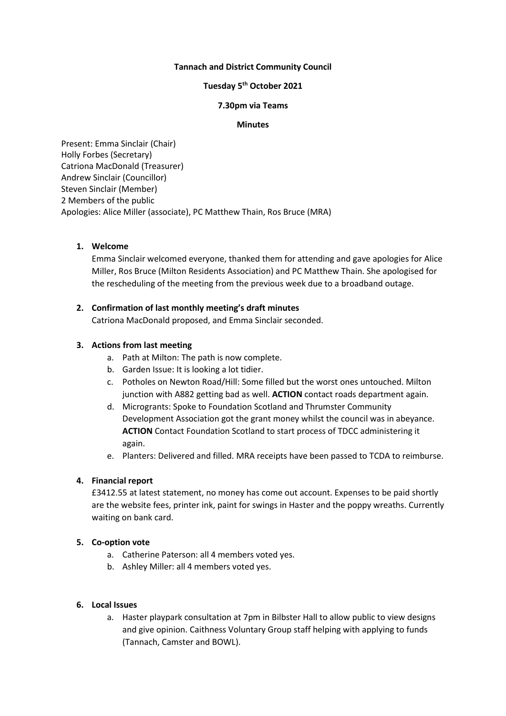# **Tannach and District Community Council**

# **Tuesday 5 th October 2021**

#### **7.30pm via Teams**

#### **Minutes**

Present: Emma Sinclair (Chair) Holly Forbes (Secretary) Catriona MacDonald (Treasurer) Andrew Sinclair (Councillor) Steven Sinclair (Member) 2 Members of the public Apologies: Alice Miller (associate), PC Matthew Thain, Ros Bruce (MRA)

# **1. Welcome**

Emma Sinclair welcomed everyone, thanked them for attending and gave apologies for Alice Miller, Ros Bruce (Milton Residents Association) and PC Matthew Thain. She apologised for the rescheduling of the meeting from the previous week due to a broadband outage.

### **2. Confirmation of last monthly meeting's draft minutes**

Catriona MacDonald proposed, and Emma Sinclair seconded.

### **3. Actions from last meeting**

- a. Path at Milton: The path is now complete.
- b. Garden Issue: It is looking a lot tidier.
- c. Potholes on Newton Road/Hill: Some filled but the worst ones untouched. Milton junction with A882 getting bad as well. **ACTION** contact roads department again.
- d. Microgrants: Spoke to Foundation Scotland and Thrumster Community Development Association got the grant money whilst the council was in abeyance. **ACTION** Contact Foundation Scotland to start process of TDCC administering it again.
- e. Planters: Delivered and filled. MRA receipts have been passed to TCDA to reimburse.

### **4. Financial report**

£3412.55 at latest statement, no money has come out account. Expenses to be paid shortly are the website fees, printer ink, paint for swings in Haster and the poppy wreaths. Currently waiting on bank card.

# **5. Co-option vote**

- a. Catherine Paterson: all 4 members voted yes.
- b. Ashley Miller: all 4 members voted yes.

# **6. Local Issues**

a. Haster playpark consultation at 7pm in Bilbster Hall to allow public to view designs and give opinion. Caithness Voluntary Group staff helping with applying to funds (Tannach, Camster and BOWL).